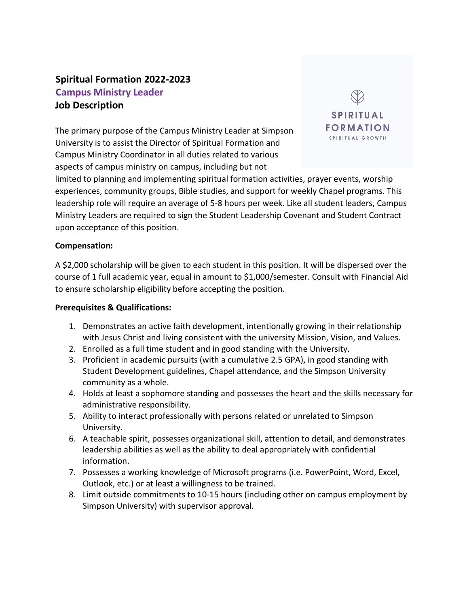# **Spiritual Formation 2022-2023 Campus Ministry Leader Job Description**

The primary purpose of the Campus Ministry Leader at Simpson University is to assist the Director of Spiritual Formation and Campus Ministry Coordinator in all duties related to various aspects of campus ministry on campus, including but not



limited to planning and implementing spiritual formation activities, prayer events, worship experiences, community groups, Bible studies, and support for weekly Chapel programs. This leadership role will require an average of 5-8 hours per week. Like all student leaders, Campus Ministry Leaders are required to sign the Student Leadership Covenant and Student Contract upon acceptance of this position.

#### **Compensation:**

A \$2,000 scholarship will be given to each student in this position. It will be dispersed over the course of 1 full academic year, equal in amount to \$1,000/semester. Consult with Financial Aid to ensure scholarship eligibility before accepting the position.

#### **Prerequisites & Qualifications:**

- 1. Demonstrates an active faith development, intentionally growing in their relationship with Jesus Christ and living consistent with the university Mission, Vision, and Values.
- 2. Enrolled as a full time student and in good standing with the University.
- 3. Proficient in academic pursuits (with a cumulative 2.5 GPA), in good standing with Student Development guidelines, Chapel attendance, and the Simpson University community as a whole.
- 4. Holds at least a sophomore standing and possesses the heart and the skills necessary for administrative responsibility.
- 5. Ability to interact professionally with persons related or unrelated to Simpson University.
- 6. A teachable spirit, possesses organizational skill, attention to detail, and demonstrates leadership abilities as well as the ability to deal appropriately with confidential information.
- 7. Possesses a working knowledge of Microsoft programs (i.e. PowerPoint, Word, Excel, Outlook, etc.) or at least a willingness to be trained.
- 8. Limit outside commitments to 10-15 hours (including other on campus employment by Simpson University) with supervisor approval.